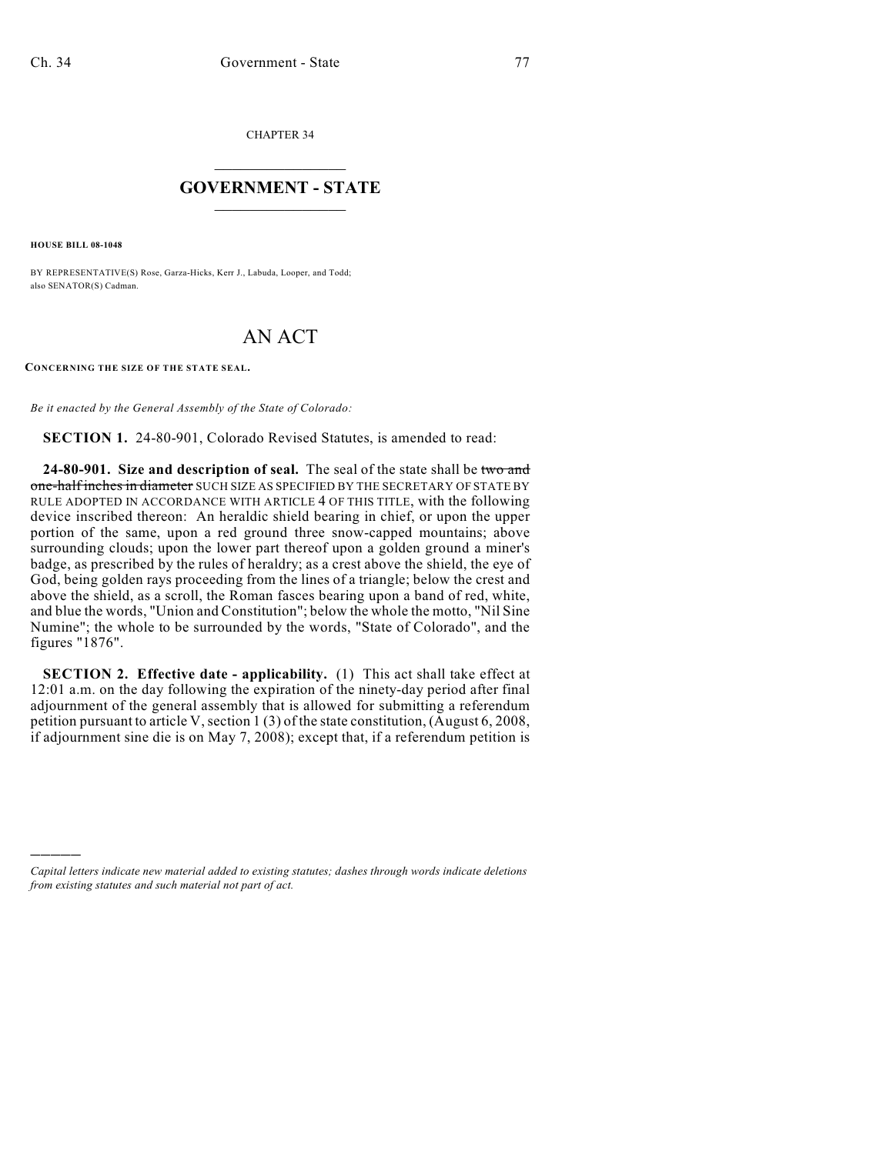CHAPTER 34

## $\mathcal{L}_\text{max}$  . The set of the set of the set of the set of the set of the set of the set of the set of the set of the set of the set of the set of the set of the set of the set of the set of the set of the set of the set **GOVERNMENT - STATE**  $\_$

**HOUSE BILL 08-1048**

)))))

BY REPRESENTATIVE(S) Rose, Garza-Hicks, Kerr J., Labuda, Looper, and Todd; also SENATOR(S) Cadman.

## AN ACT

**CONCERNING THE SIZE OF THE STATE SEAL.**

*Be it enacted by the General Assembly of the State of Colorado:*

**SECTION 1.** 24-80-901, Colorado Revised Statutes, is amended to read:

**24-80-901. Size and description of seal.** The seal of the state shall be two and one-half inches in diameter SUCH SIZE AS SPECIFIED BY THE SECRETARY OF STATE BY RULE ADOPTED IN ACCORDANCE WITH ARTICLE 4 OF THIS TITLE, with the following device inscribed thereon: An heraldic shield bearing in chief, or upon the upper portion of the same, upon a red ground three snow-capped mountains; above surrounding clouds; upon the lower part thereof upon a golden ground a miner's badge, as prescribed by the rules of heraldry; as a crest above the shield, the eye of God, being golden rays proceeding from the lines of a triangle; below the crest and above the shield, as a scroll, the Roman fasces bearing upon a band of red, white, and blue the words, "Union and Constitution"; below the whole the motto, "Nil Sine Numine"; the whole to be surrounded by the words, "State of Colorado", and the figures "1876".

**SECTION 2. Effective date - applicability.** (1) This act shall take effect at 12:01 a.m. on the day following the expiration of the ninety-day period after final adjournment of the general assembly that is allowed for submitting a referendum petition pursuant to article V, section 1 (3) of the state constitution, (August 6, 2008, if adjournment sine die is on May 7, 2008); except that, if a referendum petition is

*Capital letters indicate new material added to existing statutes; dashes through words indicate deletions from existing statutes and such material not part of act.*